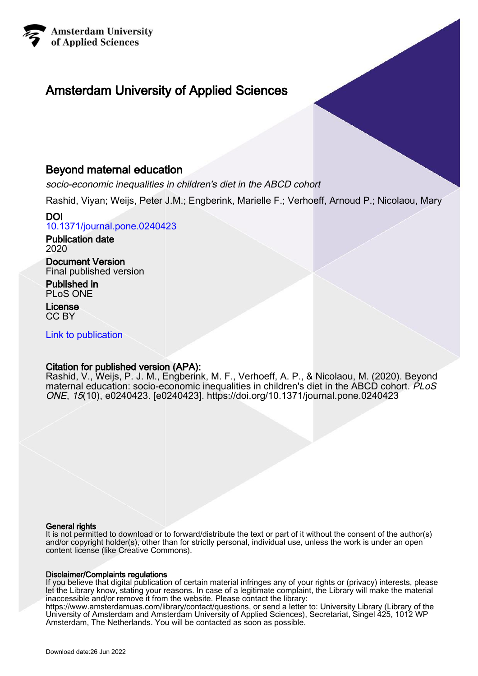

# Amsterdam University of Applied Sciences

# Beyond maternal education

socio-economic inequalities in children's diet in the ABCD cohort

Rashid, Viyan; Weijs, Peter J.M.; Engberink, Marielle F.; Verhoeff, Arnoud P.; Nicolaou, Mary

DOI [10.1371/journal.pone.0240423](https://doi.org/10.1371/journal.pone.0240423)

Publication date 2020

Document Version Final published version

Published in PLoS ONE

License CC BY

[Link to publication](https://research.hva.nl/en/publications/52622bc1-5c68-447a-b17f-88a78ac75752)

#### Citation for published version (APA):

Rashid, V., Weijs, P. J. M., Engberink, M. F., Verhoeff, A. P., & Nicolaou, M. (2020). Beyond maternal education: socio-economic inequalities in children's diet in the ABCD cohort. PLoS ONE, 15(10), e0240423. [e0240423]. <https://doi.org/10.1371/journal.pone.0240423>

#### General rights

It is not permitted to download or to forward/distribute the text or part of it without the consent of the author(s) and/or copyright holder(s), other than for strictly personal, individual use, unless the work is under an open content license (like Creative Commons).

#### Disclaimer/Complaints regulations

If you believe that digital publication of certain material infringes any of your rights or (privacy) interests, please let the Library know, stating your reasons. In case of a legitimate complaint, the Library will make the material inaccessible and/or remove it from the website. Please contact the library:

https://www.amsterdamuas.com/library/contact/questions, or send a letter to: University Library (Library of the University of Amsterdam and Amsterdam University of Applied Sciences), Secretariat, Singel 425, 1012 WP Amsterdam, The Netherlands. You will be contacted as soon as possible.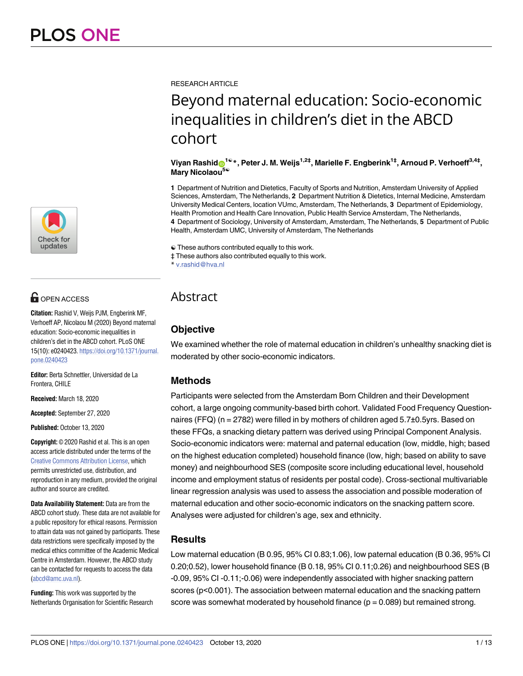

# **OPEN ACCESS**

**Citation:** Rashid V, Weijs PJM, Engberink MF, Verhoeff AP, Nicolaou M (2020) Beyond maternal education: Socio-economic inequalities in children's diet in the ABCD cohort. PLoS ONE 15(10): e0240423. [https://doi.org/10.1371/journal.](https://doi.org/10.1371/journal.pone.0240423) [pone.0240423](https://doi.org/10.1371/journal.pone.0240423)

**Editor:** Berta Schnettler, Universidad de La Frontera, CHILE

**Received:** March 18, 2020

**Accepted:** September 27, 2020

**Published:** October 13, 2020

**Copyright:** © 2020 Rashid et al. This is an open access article distributed under the terms of the Creative Commons [Attribution](http://creativecommons.org/licenses/by/4.0/) License, which permits unrestricted use, distribution, and reproduction in any medium, provided the original author and source are credited.

**Data Availability Statement:** Data are from the ABCD cohort study. These data are not available for a public repository for ethical reasons. Permission to attain data was not gained by participants. These data restrictions were specifically imposed by the medical ethics committee of the Academic Medical Centre in Amsterdam. However, the ABCD study can be contacted for requests to access the data [\(abcd@amc.uva.nl](mailto:abcd@amc.uva.nl)).

**Funding:** This work was supported by the Netherlands Organisation for Scientific Research RESEARCH ARTICLE

# Beyond maternal education: Socio-economic inequalities in children's diet in the ABCD cohort

#### **Viyan Rashid[ID1](http://orcid.org/0000-0002-5287-4469)**☯**\*, Peter J. M. Weijs1,2‡, Marielle F. Engberink1‡, Arnoud P. Verhoeff3,4‡, Mary Nicolaou5**☯

**1** Department of Nutrition and Dietetics, Faculty of Sports and Nutrition, Amsterdam University of Applied Sciences, Amsterdam, The Netherlands, **2** Department Nutrition & Dietetics, Internal Medicine, Amsterdam University Medical Centers, location VUmc, Amsterdam, The Netherlands, **3** Department of Epidemiology, Health Promotion and Health Care Innovation, Public Health Service Amsterdam, The Netherlands, **4** Department of Sociology, University of Amsterdam, Amsterdam, The Netherlands, **5** Department of Public Health, Amsterdam UMC, University of Amsterdam, The Netherlands

☯ These authors contributed equally to this work.

‡ These authors also contributed equally to this work.

\* v.rashid@hva.nl

# **Abstract**

## **Objective**

We examined whether the role of maternal education in children's unhealthy snacking diet is moderated by other socio-economic indicators.

## **Methods**

Participants were selected from the Amsterdam Born Children and their Development cohort, a large ongoing community-based birth cohort. Validated Food Frequency Questionnaires (FFQ) ( $n = 2782$ ) were filled in by mothers of children aged  $5.7\pm0.5$ yrs. Based on these FFQs, a snacking dietary pattern was derived using Principal Component Analysis. Socio-economic indicators were: maternal and paternal education (low, middle, high; based on the highest education completed) household finance (low, high; based on ability to save money) and neighbourhood SES (composite score including educational level, household income and employment status of residents per postal code). Cross-sectional multivariable linear regression analysis was used to assess the association and possible moderation of maternal education and other socio-economic indicators on the snacking pattern score. Analyses were adjusted for children's age, sex and ethnicity.

## **Results**

Low maternal education (B 0.95, 95% CI 0.83;1.06), low paternal education (B 0.36, 95% CI 0.20;0.52), lower household finance (B 0.18, 95% CI 0.11;0.26) and neighbourhood SES (B -0.09, 95% CI -0.11;-0.06) were independently associated with higher snacking pattern scores (p<0.001). The association between maternal education and the snacking pattern score was somewhat moderated by household finance  $(p = 0.089)$  but remained strong.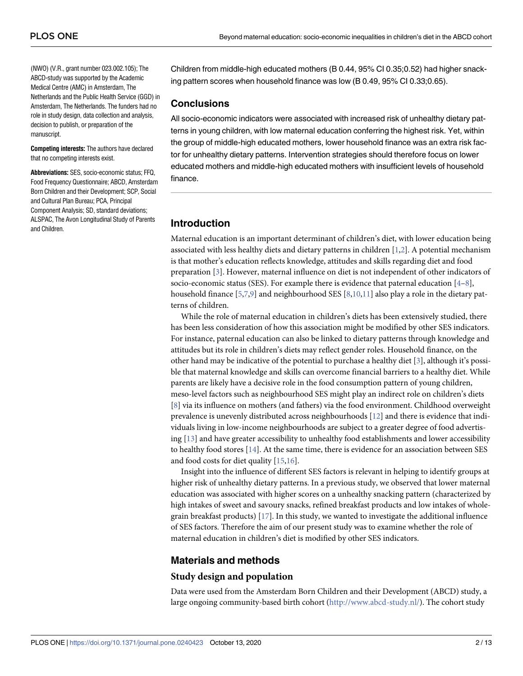<span id="page-2-0"></span>(NWO) (V.R., grant number 023.002.105); The ABCD-study was supported by the Academic Medical Centre (AMC) in Amsterdam, The Netherlands and the Public Health Service (GGD) in Amsterdam, The Netherlands. The funders had no role in study design, data collection and analysis, decision to publish, or preparation of the manuscript.

**Competing interests:** The authors have declared that no competing interests exist.

**Abbreviations:** SES, socio-economic status; FFQ, Food Frequency Questionnaire; ABCD, Amsterdam Born Children and their Development; SCP, Social and Cultural Plan Bureau; PCA, Principal Component Analysis; SD, standard deviations; ALSPAC, The Avon Longitudinal Study of Parents and Children.

Children from middle-high educated mothers (B 0.44, 95% CI 0.35;0.52) had higher snacking pattern scores when household finance was low (B 0.49, 95% CI 0.33;0.65).

#### **Conclusions**

All socio-economic indicators were associated with increased risk of unhealthy dietary patterns in young children, with low maternal education conferring the highest risk. Yet, within the group of middle-high educated mothers, lower household finance was an extra risk factor for unhealthy dietary patterns. Intervention strategies should therefore focus on lower educated mothers and middle-high educated mothers with insufficient levels of household finance.

#### **Introduction**

Maternal education is an important determinant of children's diet, with lower education being associated with less healthy diets and dietary patterns in children [\[1,2](#page-11-0)]. A potential mechanism is that mother's education reflects knowledge, attitudes and skills regarding diet and food preparation [[3](#page-11-0)]. However, maternal influence on diet is not independent of other indicators of socio-economic status (SES). For example there is evidence that paternal education  $[4-8]$ , household finance [[5](#page-11-0),[7](#page-11-0),[9](#page-11-0)] and neighbourhood SES [[8](#page-11-0),[10,11\]](#page-11-0) also play a role in the dietary patterns of children.

While the role of maternal education in children's diets has been extensively studied, there has been less consideration of how this association might be modified by other SES indicators. For instance, paternal education can also be linked to dietary patterns through knowledge and attitudes but its role in children's diets may reflect gender roles. Household finance, on the other hand may be indicative of the potential to purchase a healthy diet [[3](#page-11-0)], although it's possible that maternal knowledge and skills can overcome financial barriers to a healthy diet. While parents are likely have a decisive role in the food consumption pattern of young children, meso-level factors such as neighbourhood SES might play an indirect role on children's diets [\[8](#page-11-0)] via its influence on mothers (and fathers) via the food environment. Childhood overweight prevalence is unevenly distributed across neighbourhoods [[12](#page-11-0)] and there is evidence that individuals living in low-income neighbourhoods are subject to a greater degree of food advertising [\[13\]](#page-11-0) and have greater accessibility to unhealthy food establishments and lower accessibility to healthy food stores  $[14]$  $[14]$  $[14]$ . At the same time, there is evidence for an association between SES and food costs for diet quality [[15,16\]](#page-11-0).

Insight into the influence of different SES factors is relevant in helping to identify groups at higher risk of unhealthy dietary patterns. In a previous study, we observed that lower maternal education was associated with higher scores on a unhealthy snacking pattern (characterized by high intakes of sweet and savoury snacks, refined breakfast products and low intakes of wholegrain breakfast products) [[17](#page-11-0)]. In this study, we wanted to investigate the additional influence of SES factors. Therefore the aim of our present study was to examine whether the role of maternal education in children's diet is modified by other SES indicators.

## **Materials and methods**

#### **Study design and population**

Data were used from the Amsterdam Born Children and their Development (ABCD) study, a large ongoing community-based birth cohort (<http://www.abcd-study.nl/>). The cohort study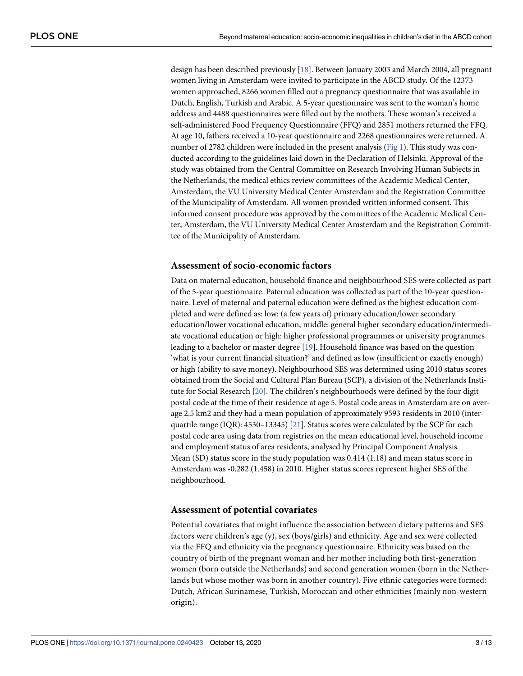<span id="page-3-0"></span>design has been described previously [[18](#page-11-0)]. Between January 2003 and March 2004, all pregnant women living in Amsterdam were invited to participate in the ABCD study. Of the 12373 women approached, 8266 women filled out a pregnancy questionnaire that was available in Dutch, English, Turkish and Arabic. A 5-year questionnaire was sent to the woman's home address and 4488 questionnaires were filled out by the mothers. These woman's received a self-administered Food Frequency Questionnaire (FFQ) and 2851 mothers returned the FFQ. At age 10, fathers received a 10-year questionnaire and 2268 questionnaires were returned. A number of 2782 children were included in the present analysis ([Fig](#page-4-0) 1). This study was conducted according to the guidelines laid down in the Declaration of Helsinki. Approval of the study was obtained from the Central Committee on Research Involving Human Subjects in the Netherlands, the medical ethics review committees of the Academic Medical Center, Amsterdam, the VU University Medical Center Amsterdam and the Registration Committee of the Municipality of Amsterdam. All women provided written informed consent. This informed consent procedure was approved by the committees of the Academic Medical Center, Amsterdam, the VU University Medical Center Amsterdam and the Registration Committee of the Municipality of Amsterdam.

#### **Assessment of socio-economic factors**

Data on maternal education, household finance and neighbourhood SES were collected as part of the 5-year questionnaire. Paternal education was collected as part of the 10-year questionnaire. Level of maternal and paternal education were defined as the highest education completed and were defined as: low: (a few years of) primary education/lower secondary education/lower vocational education, middle: general higher secondary education/intermediate vocational education or high: higher professional programmes or university programmes leading to a bachelor or master degree [[19](#page-12-0)]. Household finance was based on the question 'what is your current financial situation?' and defined as low (insufficient or exactly enough) or high (ability to save money). Neighbourhood SES was determined using 2010 status scores obtained from the Social and Cultural Plan Bureau (SCP), a division of the Netherlands Institute for Social Research [[20](#page-12-0)]. The children's neighbourhoods were defined by the four digit postal code at the time of their residence at age 5. Postal code areas in Amsterdam are on average 2.5 km2 and they had a mean population of approximately 9593 residents in 2010 (interquartile range (IQR): 4530–13345) [[21](#page-12-0)]. Status scores were calculated by the SCP for each postal code area using data from registries on the mean educational level, household income and employment status of area residents, analysed by Principal Component Analysis. Mean (SD) status score in the study population was 0.414 (1.18) and mean status score in Amsterdam was -0.282 (1.458) in 2010. Higher status scores represent higher SES of the neighbourhood.

#### **Assessment of potential covariates**

Potential covariates that might influence the association between dietary patterns and SES factors were children's age (y), sex (boys/girls) and ethnicity. Age and sex were collected via the FFQ and ethnicity via the pregnancy questionnaire. Ethnicity was based on the country of birth of the pregnant woman and her mother including both first-generation women (born outside the Netherlands) and second generation women (born in the Netherlands but whose mother was born in another country). Five ethnic categories were formed: Dutch, African Surinamese, Turkish, Moroccan and other ethnicities (mainly non-western origin).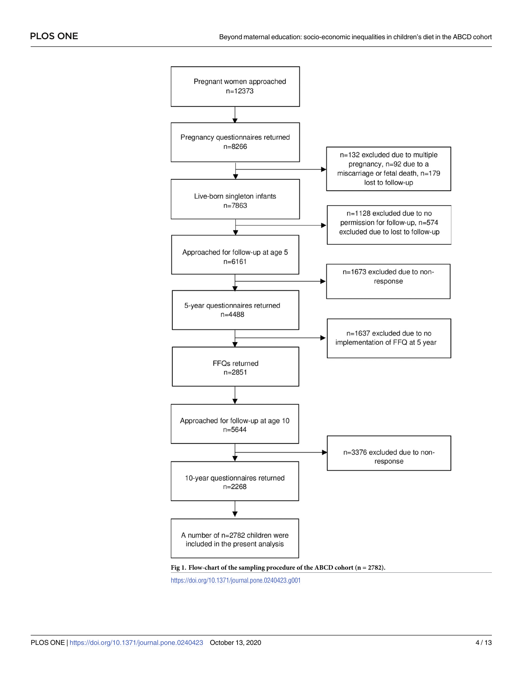<span id="page-4-0"></span>

<https://doi.org/10.1371/journal.pone.0240423.g001>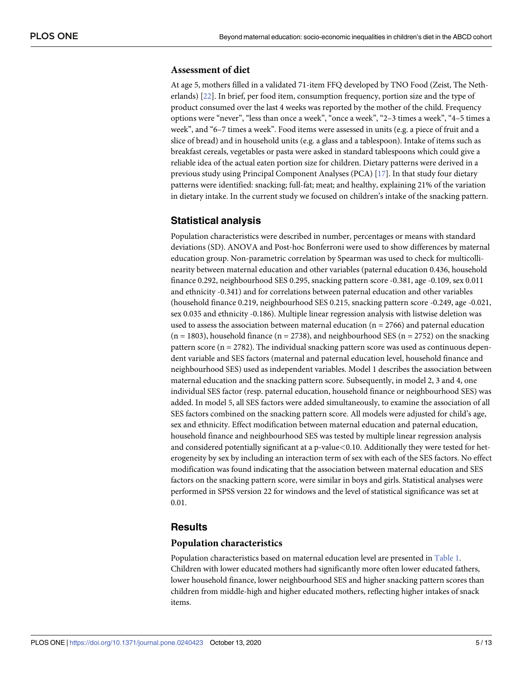#### <span id="page-5-0"></span>**Assessment of diet**

At age 5, mothers filled in a validated 71-item FFQ developed by TNO Food (Zeist, The Netherlands) [\[22\]](#page-12-0). In brief, per food item, consumption frequency, portion size and the type of product consumed over the last 4 weeks was reported by the mother of the child. Frequency options were "never", "less than once a week", "once a week", "2–3 times a week", "4–5 times a week", and "6–7 times a week". Food items were assessed in units (e.g. a piece of fruit and a slice of bread) and in household units (e.g. a glass and a tablespoon). Intake of items such as breakfast cereals, vegetables or pasta were asked in standard tablespoons which could give a reliable idea of the actual eaten portion size for children. Dietary patterns were derived in a previous study using Principal Component Analyses (PCA) [\[17\]](#page-11-0). In that study four dietary patterns were identified: snacking; full-fat; meat; and healthy, explaining 21% of the variation in dietary intake. In the current study we focused on children's intake of the snacking pattern.

#### **Statistical analysis**

Population characteristics were described in number, percentages or means with standard deviations (SD). ANOVA and Post-hoc Bonferroni were used to show differences by maternal education group. Non-parametric correlation by Spearman was used to check for multicollinearity between maternal education and other variables (paternal education 0.436, household finance 0.292, neighbourhood SES 0.295, snacking pattern score -0.381, age -0.109, sex 0.011 and ethnicity -0.341) and for correlations between paternal education and other variables (household finance 0.219, neighbourhood SES 0.215, snacking pattern score -0.249, age -0.021, sex 0.035 and ethnicity -0.186). Multiple linear regression analysis with listwise deletion was used to assess the association between maternal education ( $n = 2766$ ) and paternal education  $(n = 1803)$ , household finance  $(n = 2738)$ , and neighbourhood SES  $(n = 2752)$  on the snacking pattern score ( $n = 2782$ ). The individual snacking pattern score was used as continuous dependent variable and SES factors (maternal and paternal education level, household finance and neighbourhood SES) used as independent variables. Model 1 describes the association between maternal education and the snacking pattern score. Subsequently, in model 2, 3 and 4, one individual SES factor (resp. paternal education, household finance or neighbourhood SES) was added. In model 5, all SES factors were added simultaneously, to examine the association of all SES factors combined on the snacking pattern score. All models were adjusted for child's age, sex and ethnicity. Effect modification between maternal education and paternal education, household finance and neighbourhood SES was tested by multiple linear regression analysis and considered potentially significant at a p-value*<*0.10. Additionally they were tested for heterogeneity by sex by including an interaction term of sex with each of the SES factors. No effect modification was found indicating that the association between maternal education and SES factors on the snacking pattern score, were similar in boys and girls. Statistical analyses were performed in SPSS version 22 for windows and the level of statistical significance was set at 0.01.

#### **Results**

#### **Population characteristics**

Population characteristics based on maternal education level are presented in [Table](#page-6-0) 1. Children with lower educated mothers had significantly more often lower educated fathers, lower household finance, lower neighbourhood SES and higher snacking pattern scores than children from middle-high and higher educated mothers, reflecting higher intakes of snack items.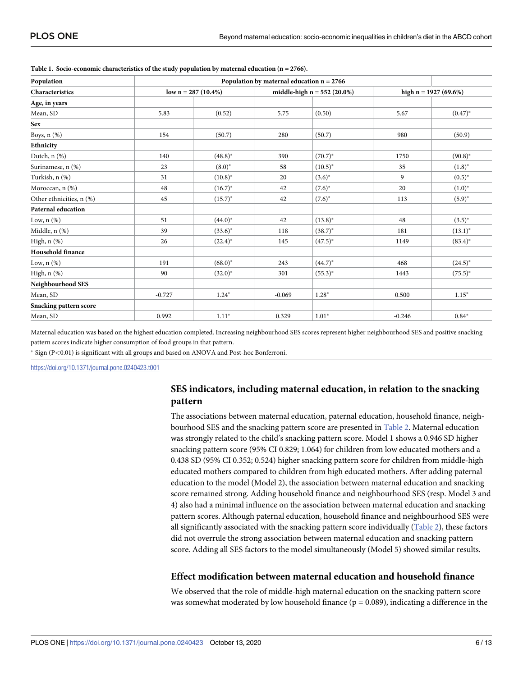| Population               | Population by maternal education $n = 2766$ |              |                               |              |                        |              |
|--------------------------|---------------------------------------------|--------------|-------------------------------|--------------|------------------------|--------------|
| Characteristics          | low $n = 287 (10.4\%)$                      |              | middle-high $n = 552$ (20.0%) |              | high $n = 1927(69.6%)$ |              |
| Age, in years            |                                             |              |                               |              |                        |              |
| Mean, SD                 | 5.83                                        | (0.52)       | 5.75                          | (0.50)       | 5.67                   | $(0.47)^{*}$ |
| <b>Sex</b>               |                                             |              |                               |              |                        |              |
| Boys, $n$ $(\%)$         | 154                                         | (50.7)       | 280                           | (50.7)       | 980                    | (50.9)       |
| Ethnicity                |                                             |              |                               |              |                        |              |
| Dutch, $n$ $%$           | 140                                         | $(48.8)^*$   | 390                           | $(70.7)^*$   | 1750                   | $(90.8)^*$   |
| Surinamese, n (%)        | 23                                          | $(8.0)^*$    | 58                            | $(10.5)^{*}$ | 35                     | $(1.8)^{*}$  |
| Turkish, n (%)           | 31                                          | $(10.8)^{*}$ | 20                            | $(3.6)^{*}$  | 9                      | $(0.5)^{*}$  |
| Moroccan, n (%)          | 48                                          | $(16.7)^*$   | 42                            | $(7.6)^*$    | 20                     | $(1.0)^*$    |
| Other ethnicities, n (%) | 45                                          | $(15.7)^*$   | 42                            | $(7.6)^*$    | 113                    | $(5.9)^{*}$  |
| Paternal education       |                                             |              |                               |              |                        |              |
| Low, $n$ $(\%)$          | 51                                          | $(44.0)^*$   | 42                            | $(13.8)^*$   | 48                     | $(3.5)^{*}$  |
| Middle, $n$ $(\%)$       | 39                                          | $(33.6)^*$   | 118                           | $(38.7)^*$   | 181                    | $(13.1)^*$   |
| High, n (%)              | 26                                          | $(22.4)^*$   | 145                           | $(47.5)^*$   | 1149                   | $(83.4)^*$   |
| Household finance        |                                             |              |                               |              |                        |              |
| Low, $n$ $(\%)$          | 191                                         | $(68.0)^*$   | 243                           | $(44.7)^*$   | 468                    | $(24.5)^*$   |
| High, n (%)              | 90                                          | $(32.0)^*$   | 301                           | $(55.3)^*$   | 1443                   | $(75.5)^*$   |
| Neighbourhood SES        |                                             |              |                               |              |                        |              |
| Mean, SD                 | $-0.727$                                    | $1.24*$      | $-0.069$                      | $1.28*$      | 0.500                  | $1.15*$      |
| Snacking pattern score   |                                             |              |                               |              |                        |              |
| Mean, SD                 | 0.992                                       | $1.11*$      | 0.329                         | $1.01*$      | $-0.246$               | $0.84*$      |

#### <span id="page-6-0"></span>**[Table](#page-5-0) 1. Socio-economic characteristics of the study population by maternal education (n = 2766).**

Maternal education was based on the highest education completed. Increasing neighbourhood SES scores represent higher neighbourhood SES and positive snacking pattern scores indicate higher consumption of food groups in that pattern.

� Sign (P*<*0.01) is significant with all groups and based on ANOVA and Post-hoc Bonferroni.

<https://doi.org/10.1371/journal.pone.0240423.t001>

#### **SES indicators, including maternal education, in relation to the snacking pattern**

The associations between maternal education, paternal education, household finance, neighbourhood SES and the snacking pattern score are presented in [Table](#page-7-0) 2. Maternal education was strongly related to the child's snacking pattern score. Model 1 shows a 0.946 SD higher snacking pattern score (95% CI 0.829; 1.064) for children from low educated mothers and a 0.438 SD (95% CI 0.352; 0.524) higher snacking pattern score for children from middle-high educated mothers compared to children from high educated mothers. After adding paternal education to the model (Model 2), the association between maternal education and snacking score remained strong. Adding household finance and neighbourhood SES (resp. Model 3 and 4) also had a minimal influence on the association between maternal education and snacking pattern scores. Although paternal education, household finance and neighbourhood SES were all significantly associated with the snacking pattern score individually ([Table](#page-7-0) 2), these factors did not overrule the strong association between maternal education and snacking pattern score. Adding all SES factors to the model simultaneously (Model 5) showed similar results.

#### **Effect modification between maternal education and household finance**

We observed that the role of middle-high maternal education on the snacking pattern score was somewhat moderated by low household finance ( $p = 0.089$ ), indicating a difference in the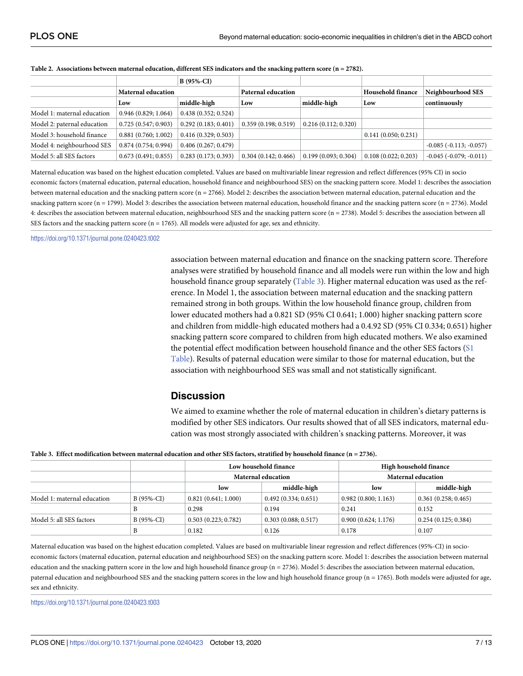|                             |                           | B (95%-CI)          |                           |                     |                     |                             |
|-----------------------------|---------------------------|---------------------|---------------------------|---------------------|---------------------|-----------------------------|
|                             | <b>Maternal education</b> |                     | <b>Paternal education</b> |                     | Household finance   | Neighbourhood SES           |
|                             | Low                       | middle-high         | Low                       | middle-high         | Low                 | continuously                |
| Model 1: maternal education | 0.946(0.829; 1.064)       | 0.438(0.352; 0.524) |                           |                     |                     |                             |
| Model 2: paternal education | 0.725(0.547; 0.903)       | 0.292(0.183; 0.401) | 0.359(0.198; 0.519)       | 0.216(0.112; 0.320) |                     |                             |
| Model 3: household finance  | 0.881(0.760; 1.002)       | 0.416(0.329; 0.503) |                           |                     | 0.141(0.050; 0.231) |                             |
| Model 4: neighbourhood SES  | 0.874(0.754; 0.994)       | 0.406(0.267; 0.479) |                           |                     |                     | $-0.085$ $(-0.113; -0.057)$ |
| Model 5: all SES factors    | 0.673(0.491; 0.855)       | 0.283(0.173; 0.393) | 0.304(0.142; 0.466)       | 0.199(0.093; 0.304) | 0.108(0.022; 0.203) | $-0.045$ $(-0.079; -0.011)$ |

<span id="page-7-0"></span>

| Table 2. Associations between maternal education, different SES indicators and the snacking pattern score ( $n = 2782$ ). |  |  |
|---------------------------------------------------------------------------------------------------------------------------|--|--|
|                                                                                                                           |  |  |

Maternal education was based on the highest education completed. Values are based on multivariable linear regression and reflect differences (95% CI) in socio economic factors (maternal education, paternal education, household finance and neighbourhood SES) on the snacking pattern score. Model 1: describes the association between maternal education and the snacking pattern score (n = 2766). Model 2: describes the association between maternal education, paternal education and the snacking pattern score (n = 1799). Model 3: describes the association between maternal education, household finance and the snacking pattern score (n = 2736). Model 4: describes the association between maternal education, neighbourhood SES and the snacking pattern score (n = 2738). Model 5: describes the association between all SES factors and the snacking pattern score ( $n = 1765$ ). All models were adjusted for age, sex and ethnicity.

<https://doi.org/10.1371/journal.pone.0240423.t002>

association between maternal education and finance on the snacking pattern score. Therefore analyses were stratified by household finance and all models were run within the low and high household finance group separately (Table 3). Higher maternal education was used as the reference. In Model 1, the association between maternal education and the snacking pattern remained strong in both groups. Within the low household finance group, children from lower educated mothers had a 0.821 SD (95% CI 0.641; 1.000) higher snacking pattern score and children from middle-high educated mothers had a 0.4.92 SD (95% CI 0.334; 0.651) higher snacking pattern score compared to children from high educated mothers. We also examined the potential effect modification between household finance and the other SES factors ([S1](#page-10-0) [Table](#page-10-0)). Results of paternal education were similar to those for maternal education, but the association with neighbourhood SES was small and not statistically significant.

#### **Discussion**

We aimed to examine whether the role of maternal education in children's dietary patterns is modified by other SES indicators. Our results showed that of all SES indicators, maternal education was most strongly associated with children's snacking patterns. Moreover, it was

|                             |             |                     | Low household finance | High household finance |                     |  |
|-----------------------------|-------------|---------------------|-----------------------|------------------------|---------------------|--|
|                             |             |                     | Maternal education    | Maternal education     |                     |  |
|                             |             | low                 | middle-high           | low                    | middle-high         |  |
| Model 1: maternal education | $B(95%-CI)$ | 0.821(0.641; 1.000) | 0.492(0.334; 0.651)   | 0.982(0.800; 1.163)    | 0.361(0.258; 0.465) |  |
|                             |             | 0.298               | 0.194                 | 0.241                  | 0.152               |  |
| Model 5: all SES factors    | $B(95%-CI)$ | 0.503(0.223; 0.782) | 0.303(0.088; 0.517)   | 0.900(0.624; 1.176)    | 0.254(0.125; 0.384) |  |
|                             |             | 0.182               | 0.126                 | 0.178                  | 0.107               |  |

Maternal education was based on the highest education completed. Values are based on multivariable linear regression and reflect differences (95%-CI) in socioeconomic factors (maternal education, paternal education and neighbourhood SES) on the snacking pattern score. Model 1: describes the association between maternal education and the snacking pattern score in the low and high household finance group (n = 2736). Model 5: describes the association between maternal education, paternal education and neighbourhood SES and the snacking pattern scores in the low and high household finance group (n = 1765). Both models were adjusted for age, sex and ethnicity.

<https://doi.org/10.1371/journal.pone.0240423.t003>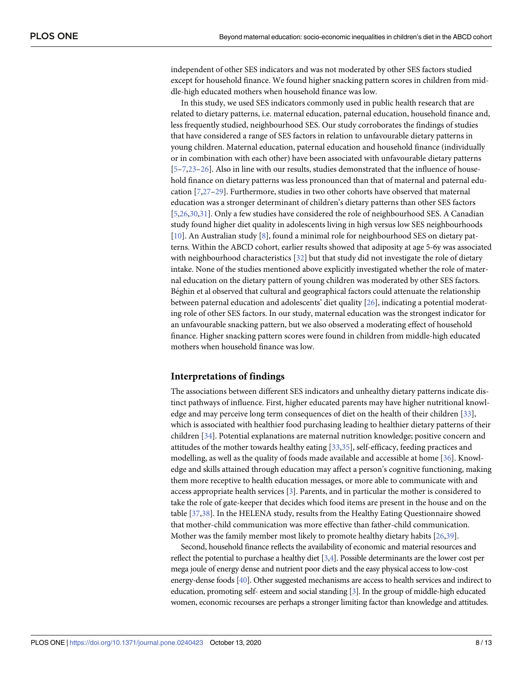<span id="page-8-0"></span>independent of other SES indicators and was not moderated by other SES factors studied except for household finance. We found higher snacking pattern scores in children from middle-high educated mothers when household finance was low.

In this study, we used SES indicators commonly used in public health research that are related to dietary patterns, i.e. maternal education, paternal education, household finance and, less frequently studied, neighbourhood SES. Our study corroborates the findings of studies that have considered a range of SES factors in relation to unfavourable dietary patterns in young children. Maternal education, paternal education and household finance (individually or in combination with each other) have been associated with unfavourable dietary patterns [\[5–7](#page-11-0)[,23–26\]](#page-12-0). Also in line with our results, studies demonstrated that the influence of household finance on dietary patterns was less pronounced than that of maternal and paternal education [\[7](#page-11-0)[,27–29\]](#page-12-0). Furthermore, studies in two other cohorts have observed that maternal education was a stronger determinant of children's dietary patterns than other SES factors [\[5](#page-11-0)[,26,30,31](#page-12-0)]. Only a few studies have considered the role of neighbourhood SES. A Canadian study found higher diet quality in adolescents living in high versus low SES neighbourhoods [\[10\]](#page-11-0). An Australian study [[8](#page-11-0)], found a minimal role for neighbourhood SES on dietary patterns. Within the ABCD cohort, earlier results showed that adiposity at age 5-6y was associated with neighbourhood characteristics [[32](#page-12-0)] but that study did not investigate the role of dietary intake. None of the studies mentioned above explicitly investigated whether the role of maternal education on the dietary pattern of young children was moderated by other SES factors. Béghin et al observed that cultural and geographical factors could attenuate the relationship between paternal education and adolescents' diet quality [[26\]](#page-12-0), indicating a potential moderating role of other SES factors. In our study, maternal education was the strongest indicator for an unfavourable snacking pattern, but we also observed a moderating effect of household finance. Higher snacking pattern scores were found in children from middle-high educated mothers when household finance was low.

#### **Interpretations of findings**

The associations between different SES indicators and unhealthy dietary patterns indicate distinct pathways of influence. First, higher educated parents may have higher nutritional knowledge and may perceive long term consequences of diet on the health of their children [[33](#page-12-0)], which is associated with healthier food purchasing leading to healthier dietary patterns of their children [[34](#page-12-0)]. Potential explanations are maternal nutrition knowledge; positive concern and attitudes of the mother towards healthy eating [\[33,35\]](#page-12-0), self-efficacy, feeding practices and modelling, as well as the quality of foods made available and accessible at home [[36](#page-12-0)]. Knowledge and skills attained through education may affect a person's cognitive functioning, making them more receptive to health education messages, or more able to communicate with and access appropriate health services [\[3](#page-11-0)]. Parents, and in particular the mother is considered to take the role of gate-keeper that decides which food items are present in the house and on the table [[37](#page-12-0)[,38\]](#page-13-0). In the HELENA study, results from the Healthy Eating Questionnaire showed that mother-child communication was more effective than father-child communication. Mother was the family member most likely to promote healthy dietary habits [[26](#page-12-0)[,39\]](#page-13-0).

Second, household finance reflects the availability of economic and material resources and reflect the potential to purchase a healthy diet [\[3,4\]](#page-11-0). Possible determinants are the lower cost per mega joule of energy dense and nutrient poor diets and the easy physical access to low-cost energy-dense foods [\[40](#page-13-0)]. Other suggested mechanisms are access to health services and indirect to education, promoting self- esteem and social standing [\[3\]](#page-11-0). In the group of middle-high educated women, economic recourses are perhaps a stronger limiting factor than knowledge and attitudes.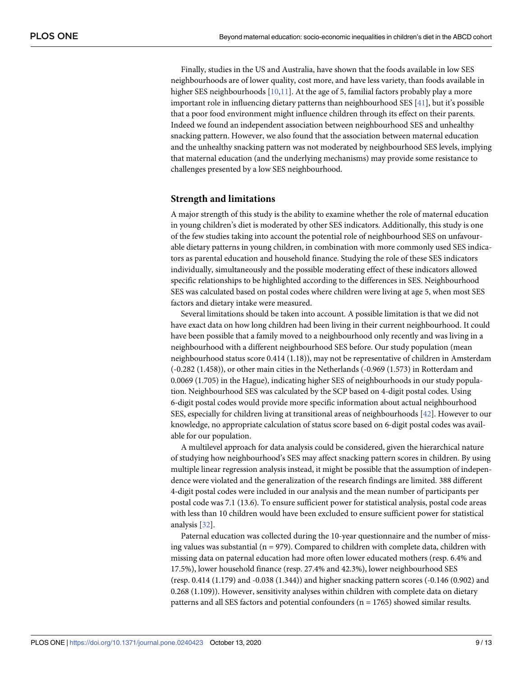<span id="page-9-0"></span>Finally, studies in the US and Australia, have shown that the foods available in low SES neighbourhoods are of lower quality, cost more, and have less variety, than foods available in higher SES neighbourhoods [[10](#page-11-0),[11](#page-11-0)]. At the age of 5, familial factors probably play a more important role in influencing dietary patterns than neighbourhood SES [[41](#page-13-0)], but it's possible that a poor food environment might influence children through its effect on their parents. Indeed we found an independent association between neighbourhood SES and unhealthy snacking pattern. However, we also found that the association between maternal education and the unhealthy snacking pattern was not moderated by neighbourhood SES levels, implying that maternal education (and the underlying mechanisms) may provide some resistance to challenges presented by a low SES neighbourhood.

#### **Strength and limitations**

A major strength of this study is the ability to examine whether the role of maternal education in young children's diet is moderated by other SES indicators. Additionally, this study is one of the few studies taking into account the potential role of neighbourhood SES on unfavourable dietary patterns in young children, in combination with more commonly used SES indicators as parental education and household finance. Studying the role of these SES indicators individually, simultaneously and the possible moderating effect of these indicators allowed specific relationships to be highlighted according to the differences in SES. Neighbourhood SES was calculated based on postal codes where children were living at age 5, when most SES factors and dietary intake were measured.

Several limitations should be taken into account. A possible limitation is that we did not have exact data on how long children had been living in their current neighbourhood. It could have been possible that a family moved to a neighbourhood only recently and was living in a neighbourhood with a different neighbourhood SES before. Our study population (mean neighbourhood status score 0.414 (1.18)), may not be representative of children in Amsterdam (-0.282 (1.458)), or other main cities in the Netherlands (-0.969 (1.573) in Rotterdam and 0.0069 (1.705) in the Hague), indicating higher SES of neighbourhoods in our study population. Neighbourhood SES was calculated by the SCP based on 4-digit postal codes. Using 6-digit postal codes would provide more specific information about actual neighbourhood SES, especially for children living at transitional areas of neighbourhoods [\[42\]](#page-13-0). However to our knowledge, no appropriate calculation of status score based on 6-digit postal codes was available for our population.

A multilevel approach for data analysis could be considered, given the hierarchical nature of studying how neighbourhood's SES may affect snacking pattern scores in children. By using multiple linear regression analysis instead, it might be possible that the assumption of independence were violated and the generalization of the research findings are limited. 388 different 4-digit postal codes were included in our analysis and the mean number of participants per postal code was 7.1 (13.6). To ensure sufficient power for statistical analysis, postal code areas with less than 10 children would have been excluded to ensure sufficient power for statistical analysis [[32](#page-12-0)].

Paternal education was collected during the 10-year questionnaire and the number of missing values was substantial ( $n = 979$ ). Compared to children with complete data, children with missing data on paternal education had more often lower educated mothers (resp. 6.4% and 17.5%), lower household finance (resp. 27.4% and 42.3%), lower neighbourhood SES (resp. 0.414 (1.179) and -0.038 (1.344)) and higher snacking pattern scores (-0.146 (0.902) and 0.268 (1.109)). However, sensitivity analyses within children with complete data on dietary patterns and all SES factors and potential confounders ( $n = 1765$ ) showed similar results.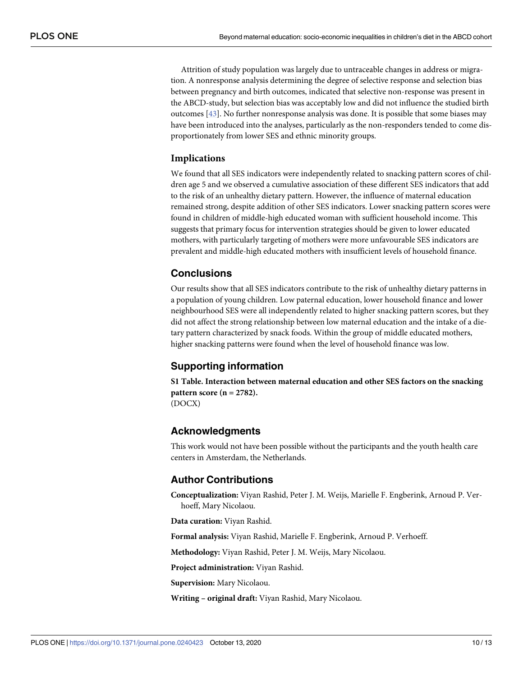<span id="page-10-0"></span>Attrition of study population was largely due to untraceable changes in address or migration. A nonresponse analysis determining the degree of selective response and selection bias between pregnancy and birth outcomes, indicated that selective non-response was present in the ABCD-study, but selection bias was acceptably low and did not influence the studied birth outcomes [\[43\]](#page-13-0). No further nonresponse analysis was done. It is possible that some biases may have been introduced into the analyses, particularly as the non-responders tended to come disproportionately from lower SES and ethnic minority groups.

#### **Implications**

We found that all SES indicators were independently related to snacking pattern scores of children age 5 and we observed a cumulative association of these different SES indicators that add to the risk of an unhealthy dietary pattern. However, the influence of maternal education remained strong, despite addition of other SES indicators. Lower snacking pattern scores were found in children of middle-high educated woman with sufficient household income. This suggests that primary focus for intervention strategies should be given to lower educated mothers, with particularly targeting of mothers were more unfavourable SES indicators are prevalent and middle-high educated mothers with insufficient levels of household finance.

#### **Conclusions**

Our results show that all SES indicators contribute to the risk of unhealthy dietary patterns in a population of young children. Low paternal education, lower household finance and lower neighbourhood SES were all independently related to higher snacking pattern scores, but they did not affect the strong relationship between low maternal education and the intake of a dietary pattern characterized by snack foods. Within the group of middle educated mothers, higher snacking patterns were found when the level of household finance was low.

#### **Supporting information**

**S1 [Table.](http://www.plosone.org/article/fetchSingleRepresentation.action?uri=info:doi/10.1371/journal.pone.0240423.s001) Interaction between maternal education and other SES factors on the snacking pattern score (n = 2782).** (DOCX)

#### **Acknowledgments**

This work would not have been possible without the participants and the youth health care centers in Amsterdam, the Netherlands.

#### **Author Contributions**

**Conceptualization:** Viyan Rashid, Peter J. M. Weijs, Marielle F. Engberink, Arnoud P. Verhoeff, Mary Nicolaou.

**Data curation:** Viyan Rashid.

**Formal analysis:** Viyan Rashid, Marielle F. Engberink, Arnoud P. Verhoeff.

**Methodology:** Viyan Rashid, Peter J. M. Weijs, Mary Nicolaou.

**Project administration:** Viyan Rashid.

**Supervision:** Mary Nicolaou.

**Writing – original draft:** Viyan Rashid, Mary Nicolaou.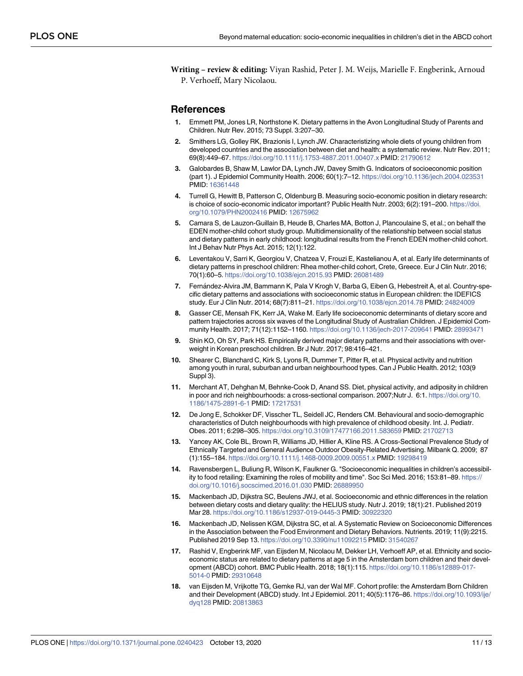<span id="page-11-0"></span>**Writing – review & editing:** Viyan Rashid, Peter J. M. Weijs, Marielle F. Engberink, Arnoud P. Verhoeff, Mary Nicolaou.

#### **References**

- **[1](#page-2-0).** Emmett PM, Jones LR, Northstone K. Dietary patterns in the Avon Longitudinal Study of Parents and Children. Nutr Rev. 2015; 73 Suppl. 3:207–30.
- **[2](#page-2-0).** Smithers LG, Golley RK, Brazionis I, Lynch JW. Characteristizing whole diets of young children from developed countries and the association between diet and health: a systematic review. Nutr Rev. 2011; 69(8):449–67. <https://doi.org/10.1111/j.1753-4887.2011.00407.x> PMID: [21790612](http://www.ncbi.nlm.nih.gov/pubmed/21790612)
- **[3](#page-2-0).** Galobardes B, Shaw M, Lawlor DA, Lynch JW, Davey Smith G. Indicators of socioeconomic position (part 1). J Epidemiol Community Health. 2006; 60(1):7–12. <https://doi.org/10.1136/jech.2004.023531> PMID: [16361448](http://www.ncbi.nlm.nih.gov/pubmed/16361448)
- **[4](#page-2-0).** Turrell G, Hewitt B, Patterson C, Oldenburg B. Measuring socio-economic position in dietary research: is choice of socio-economic indicator important? Public Health Nutr. 2003; 6(2):191–200. [https://doi.](https://doi.org/10.1079/PHN2002416) [org/10.1079/PHN2002416](https://doi.org/10.1079/PHN2002416) PMID: [12675962](http://www.ncbi.nlm.nih.gov/pubmed/12675962)
- **[5](#page-2-0).** Camara S, de Lauzon-Guillain B, Heude B, Charles MA, Botton J, Plancoulaine S, et al.; on behalf the EDEN mother-child cohort study group. Multidimensionality of the relationship between social status and dietary patterns in early childhood: longitudinal results from the French EDEN mother-child cohort. Int J Behav Nutr Phys Act. 2015; 12(1):122.
- **6.** Leventakou V, Sarri K, Georgiou V, Chatzea V, Frouzi E, Kastelianou A, et al. Early life determinants of dietary patterns in preschool children: Rhea mother-child cohort, Crete, Greece. Eur J Clin Nutr. 2016; 70(1):60–5. <https://doi.org/10.1038/ejcn.2015.93> PMID: [26081489](http://www.ncbi.nlm.nih.gov/pubmed/26081489)
- **[7](#page-2-0).** Fernández-Alvira JM, Bammann K, Pala V Krogh V, Barba G, Eiben G, Hebestreit A, et al. Country-specific dietary patterns and associations with socioeconomic status in European children: the IDEFICS study. Eur J Clin Nutr. 2014; 68(7):811–21. <https://doi.org/10.1038/ejcn.2014.78> PMID: [24824009](http://www.ncbi.nlm.nih.gov/pubmed/24824009)
- **[8](#page-2-0).** Gasser CE, Mensah FK, Kerr JA, Wake M. Early life socioeconomic determinants of dietary score and pattern trajectories across six waves of the Longitudinal Study of Australian Children. J Epidemiol Community Health. 2017; 71(12):1152–1160. <https://doi.org/10.1136/jech-2017-209641> PMID: [28993471](http://www.ncbi.nlm.nih.gov/pubmed/28993471)
- **[9](#page-2-0).** Shin KO, Oh SY, Park HS. Empirically derived major dietary patterns and their associations with overweight in Korean preschool children. Br J Nutr. 2017; 98:416–421.
- **[10](#page-2-0).** Shearer C, Blanchard C, Kirk S, Lyons R, Dummer T, Pitter R, et al. Physical activity and nutrition among youth in rural, suburban and urban neighbourhood types. Can J Public Health. 2012; 103(9 Suppl 3).
- **[11](#page-2-0).** Merchant AT, Dehghan M, Behnke-Cook D, Anand SS. Diet, physical activity, and adiposity in children in poor and rich neighbourhoods: a cross-sectional comparison. 2007;Nutr J. 6:1. [https://doi.org/10.](https://doi.org/10.1186/1475-2891-6-1) [1186/1475-2891-6-1](https://doi.org/10.1186/1475-2891-6-1) PMID: [17217531](http://www.ncbi.nlm.nih.gov/pubmed/17217531)
- **[12](#page-2-0).** De Jong E, Schokker DF, Visscher TL, Seidell JC, Renders CM. Behavioural and socio-demographic characteristics of Dutch neighbourhoods with high prevalence of childhood obesity. Int. J. Pediatr. Obes. 2011; 6:298–305. <https://doi.org/10.3109/17477166.2011.583659> PMID: [21702713](http://www.ncbi.nlm.nih.gov/pubmed/21702713)
- **[13](#page-2-0).** Yancey AK, Cole BL, Brown R, Williams JD, Hillier A, Kline RS. A Cross-Sectional Prevalence Study of Ethnically Targeted and General Audience Outdoor Obesity-Related Advertising. Milbank Q. 2009; 87 (1):155–184. <https://doi.org/10.1111/j.1468-0009.2009.00551.x> PMID: [19298419](http://www.ncbi.nlm.nih.gov/pubmed/19298419)
- **[14](#page-2-0).** Ravensbergen L, Buliung R, Wilson K, Faulkner G. "Socioeconomic inequalities in children's accessibility to food retailing: Examining the roles of mobility and time". Soc Sci Med. 2016; 153:81–89. [https://](https://doi.org/10.1016/j.socscimed.2016.01.030) [doi.org/10.1016/j.socscimed.2016.01.030](https://doi.org/10.1016/j.socscimed.2016.01.030) PMID: [26889950](http://www.ncbi.nlm.nih.gov/pubmed/26889950)
- **[15](#page-2-0).** Mackenbach JD, Dijkstra SC, Beulens JWJ, et al. Socioeconomic and ethnic differences in the relation between dietary costs and dietary quality: the HELIUS study. Nutr J. 2019; 18(1):21. Published 2019 Mar 28. <https://doi.org/10.1186/s12937-019-0445-3> PMID: [30922320](http://www.ncbi.nlm.nih.gov/pubmed/30922320)
- **[16](#page-2-0).** Mackenbach JD, Nelissen KGM, Dijkstra SC, et al. A Systematic Review on Socioeconomic Differences in the Association between the Food Environment and Dietary Behaviors. Nutrients. 2019; 11(9):2215. Published 2019 Sep 13. <https://doi.org/10.3390/nu11092215> PMID: [31540267](http://www.ncbi.nlm.nih.gov/pubmed/31540267)
- **[17](#page-2-0).** Rashid V, Engberink MF, van Eijsden M, Nicolaou M, Dekker LH, Verhoeff AP, et al. Ethnicity and socioeconomic status are related to dietary patterns at age 5 in the Amsterdam born children and their development (ABCD) cohort. BMC Public Health. 2018; 18(1):115. [https://doi.org/10.1186/s12889-017-](https://doi.org/10.1186/s12889-017-5014-0) [5014-0](https://doi.org/10.1186/s12889-017-5014-0) PMID: [29310648](http://www.ncbi.nlm.nih.gov/pubmed/29310648)
- **[18](#page-3-0).** van Eijsden M, Vrijkotte TG, Gemke RJ, van der Wal MF. Cohort profile: the Amsterdam Born Children and their Development (ABCD) study. Int J Epidemiol. 2011; 40(5):1176–86. [https://doi.org/10.1093/ije/](https://doi.org/10.1093/ije/dyq128) [dyq128](https://doi.org/10.1093/ije/dyq128) PMID: [20813863](http://www.ncbi.nlm.nih.gov/pubmed/20813863)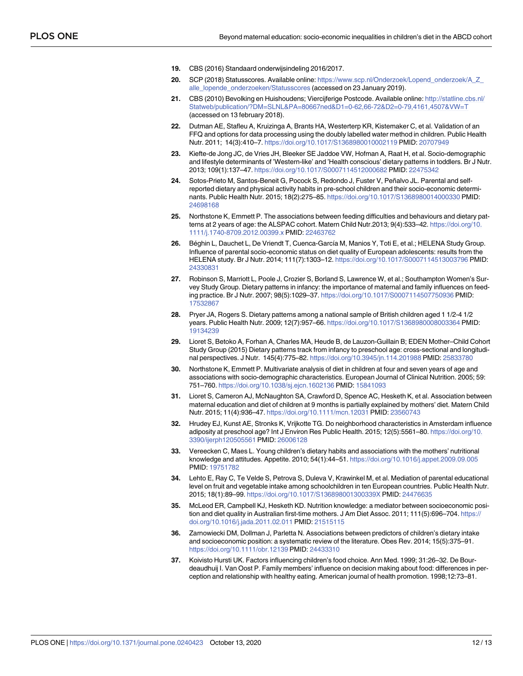- <span id="page-12-0"></span>**[19](#page-3-0).** CBS (2016) Standaard onderwijsindeling 2016/2017.
- **[20](#page-3-0).** SCP (2018) Statusscores. Available online: [https://www.scp.nl/Onderzoek/Lopend\\_onderzoek/A\\_Z\\_](https://www.scp.nl/Onderzoek/Lopend_onderzoek/A_Z_alle_lopende_onderzoeken/Statusscores) [alle\\_lopende\\_onderzoeken/Statusscores](https://www.scp.nl/Onderzoek/Lopend_onderzoek/A_Z_alle_lopende_onderzoeken/Statusscores) (accessed on 23 January 2019).
- **[21](#page-3-0).** CBS (2010) Bevolking en Huishoudens; Viercijferige Postcode. Available online: [http://statline.cbs.nl/](http://statline.cbs.nl/Statweb/publication/?DM=SLNL&PA=80667ned&D1=0-62,66-72&D2=0-79,4161,4507&VW=T) [Statweb/publication/?DM=SLNL&PA=80667ned&D1=0-62,66-72&D2=0-79,4161,4507&VW=T](http://statline.cbs.nl/Statweb/publication/?DM=SLNL&PA=80667ned&D1=0-62,66-72&D2=0-79,4161,4507&VW=T) (accessed on 13 february 2018).
- **[22](#page-5-0).** Dutman AE, Stafleu A, Kruizinga A, Brants HA, Westerterp KR, Kistemaker C, et al. Validation of an FFQ and options for data processing using the doubly labelled water method in children. Public Health Nutr. 2011; 14(3):410–7. <https://doi.org/10.1017/S1368980010002119> PMID: [20707949](http://www.ncbi.nlm.nih.gov/pubmed/20707949)
- **[23](#page-8-0).** Kiefte-de Jong JC, de Vries JH, Bleeker SE Jaddoe VW, Hofman A, Raat H, et al. Socio-demographic and lifestyle determinants of 'Western-like' and 'Health conscious' dietary patterns in toddlers. Br J Nutr. 2013; 109(1):137–47. <https://doi.org/10.1017/S0007114512000682> PMID: [22475342](http://www.ncbi.nlm.nih.gov/pubmed/22475342)
- **24.** Sotos-Prieto M, Santos-Beneit G, Pocock S, Redondo J, Fuster V, Peñalvo JL. Parental and selfreported dietary and physical activity habits in pre-school children and their socio-economic determinants. Public Health Nutr. 2015; 18(2):275–85. <https://doi.org/10.1017/S1368980014000330> PMID: [24698168](http://www.ncbi.nlm.nih.gov/pubmed/24698168)
- **25.** Northstone K, Emmett P. The associations between feeding difficulties and behaviours and dietary patterns at 2 years of age: the ALSPAC cohort. Matern Child Nutr.2013; 9(4):533–42. [https://doi.org/10.](https://doi.org/10.1111/j.1740-8709.2012.00399.x) [1111/j.1740-8709.2012.00399.x](https://doi.org/10.1111/j.1740-8709.2012.00399.x) PMID: [22463762](http://www.ncbi.nlm.nih.gov/pubmed/22463762)
- [26](#page-8-0). Béghin L, Dauchet L, De Vriendt T, Cuenca-García M, Manios Y, Toti E, et al.; HELENA Study Group. Influence of parental socio-economic status on diet quality of European adolescents: results from the HELENA study. Br J Nutr. 2014; 111(7):1303–12. <https://doi.org/10.1017/S0007114513003796> PMID: [24330831](http://www.ncbi.nlm.nih.gov/pubmed/24330831)
- **[27](#page-8-0).** Robinson S, Marriott L, Poole J, Crozier S, Borland S, Lawrence W, et al.; Southampton Women's Survey Study Group. Dietary patterns in infancy: the importance of maternal and family influences on feeding practice. Br J Nutr. 2007; 98(5):1029–37. <https://doi.org/10.1017/S0007114507750936> PMID: [17532867](http://www.ncbi.nlm.nih.gov/pubmed/17532867)
- **28.** Pryer JA, Rogers S. Dietary patterns among a national sample of British children aged 1 1/2-4 1/2 years. Public Health Nutr. 2009; 12(7):957–66. <https://doi.org/10.1017/S1368980008003364> PMID: [19134239](http://www.ncbi.nlm.nih.gov/pubmed/19134239)
- **[29](#page-8-0).** Lioret S, Betoko A, Forhan A, Charles MA, Heude B, de Lauzon-Guillain B; EDEN Mother–Child Cohort Study Group (2015) Dietary patterns track from infancy to preschool age: cross-sectional and longitudinal perspectives. J Nutr. 145(4):775–82. <https://doi.org/10.3945/jn.114.201988> PMID: [25833780](http://www.ncbi.nlm.nih.gov/pubmed/25833780)
- **[30](#page-8-0).** Northstone K, Emmett P. Multivariate analysis of diet in children at four and seven years of age and associations with socio-demographic characteristics. European Journal of Clinical Nutrition. 2005; 59: 751–760. <https://doi.org/10.1038/sj.ejcn.1602136> PMID: [15841093](http://www.ncbi.nlm.nih.gov/pubmed/15841093)
- **[31](#page-8-0).** Lioret S, Cameron AJ, McNaughton SA, Crawford D, Spence AC, Hesketh K, et al. Association between maternal education and diet of children at 9 months is partially explained by mothers' diet. Matern Child Nutr. 2015; 11(4):936–47. <https://doi.org/10.1111/mcn.12031> PMID: [23560743](http://www.ncbi.nlm.nih.gov/pubmed/23560743)
- **[32](#page-8-0).** Hrudey EJ, Kunst AE, Stronks K, Vrijkotte TG. Do neighborhood characteristics in Amsterdam influence adiposity at preschool age? Int J Environ Res Public Health. 2015; 12(5):5561–80. [https://doi.org/10.](https://doi.org/10.3390/ijerph120505561) [3390/ijerph120505561](https://doi.org/10.3390/ijerph120505561) PMID: [26006128](http://www.ncbi.nlm.nih.gov/pubmed/26006128)
- **[33](#page-8-0).** Vereecken C, Maes L. Young children's dietary habits and associations with the mothers' nutritional knowledge and attitudes. Appetite. 2010; 54(1):44–51. <https://doi.org/10.1016/j.appet.2009.09.005> PMID: [19751782](http://www.ncbi.nlm.nih.gov/pubmed/19751782)
- **[34](#page-8-0).** Lehto E, Ray C, Te Velde S, Petrova S, Duleva V, Krawinkel M, et al. Mediation of parental educational level on fruit and vegetable intake among schoolchildren in ten European countries. Public Health Nutr. 2015; 18(1):89–99. <https://doi.org/10.1017/S136898001300339X> PMID: [24476635](http://www.ncbi.nlm.nih.gov/pubmed/24476635)
- **[35](#page-8-0).** McLeod ER, Campbell KJ, Hesketh KD. Nutrition knowledge: a mediator between socioeconomic position and diet quality in Australian first-time mothers. J Am Diet Assoc. 2011; 111(5):696–704. [https://](https://doi.org/10.1016/j.jada.2011.02.011) [doi.org/10.1016/j.jada.2011.02.011](https://doi.org/10.1016/j.jada.2011.02.011) PMID: [21515115](http://www.ncbi.nlm.nih.gov/pubmed/21515115)
- **[36](#page-8-0).** Zarnowiecki DM, Dollman J, Parletta N. Associations between predictors of children's dietary intake and socioeconomic position: a systematic review of the literature. Obes Rev. 2014; 15(5):375–91. <https://doi.org/10.1111/obr.12139> PMID: [24433310](http://www.ncbi.nlm.nih.gov/pubmed/24433310)
- **[37](#page-8-0).** Koivisto Hursti UK. Factors influencing children's food choice. Ann Med. 1999; 31:26–32. De Bourdeaudhuij I. Van Oost P. Family members' influence on decision making about food: differences in perception and relationship with healthy eating. American journal of health promotion. 1998;12:73–81.